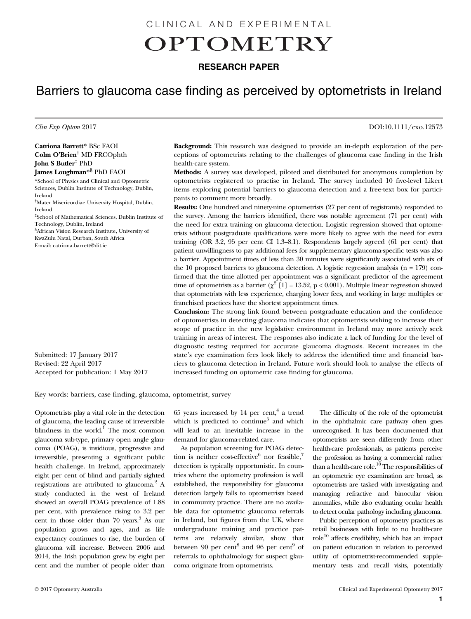CLINICAL AND EXPERIMENTAL

# OPTOMETRY

# RESEARCH PAPER

# Barriers to glaucoma case finding as perceived by optometrists in Ireland

Catriona Barrett\* BSc FAOI Colm O'Brien† MD FRCOphth John S Butler‡ PhD James Loughman\*§ PhD FAOI

\*School of Physics and Clinical and Optometric Sciences, Dublin Institute of Technology, Dublin, Ireland

† Mater Misericordiae University Hospital, Dublin, Ireland

‡ School of Mathematical Sciences, Dublin Institute of Technology, Dublin, Ireland

§ African Vision Research Institute, University of KwaZulu Natal, Durban, South Africa E-mail: [catriona.barrett@dit.ie](mailto:School of Physics and Clinical and Optometric SciencesDublin Institute of TechnologyDublinIrelandMater Misericordiae University HospitalDublinIrelandSchool of Mathematical SciencesDublin Institute of TechnologyDublinIrelandAfrican Vision Research InstituteUniversity of KwaZulu NatalDurbanSouth Africa)

Submitted: 17 January 2017 Revised: 22 April 2017 Accepted for publication: 1 May 2017

Key words: barriers, case finding, glaucoma, optometrist, survey

Optometrists play a vital role in the detection of glaucoma, the leading cause of irreversible blindness in the world.<sup>1</sup> The most common glaucoma sub-type, primary open angle glaucoma (POAG), is insidious, progressive and irreversible, presenting a significant public health challenge. In Ireland, approximately eight per cent of blind and partially sighted registrations are attributed to glaucoma.<sup>2</sup> A study conducted in the west of Ireland showed an overall POAG prevalence of 1.88 per cent, with prevalence rising to 3.2 per cent in those older than 70 years.<sup>3</sup> As our population grows and ages, and as life expectancy continues to rise, the burden of glaucoma will increase. Between 2006 and 2014, the Irish population grew by eight per cent and the number of people older than

65 years increased by 14 per cent, $4^4$  a trend which is predicted to continue<sup>5</sup> and which will lead to an inevitable increase in the demand for glaucoma-related care.

As population screening for POAG detection is neither cost-effective<sup>6</sup> nor feasible,<sup>7</sup> detection is typically opportunistic. In countries where the optometry profession is well established, the responsibility for glaucoma detection largely falls to optometrists based in community practice. There are no available data for optometric glaucoma referrals in Ireland, but figures from the UK, where undergraduate training and practice patterns are relatively similar, show that between 90 per cent<sup>8</sup> and 96 per cent<sup>9</sup> of referrals to ophthalmology for suspect glaucoma originate from optometrists.

The difficulty of the role of the optometrist in the ophthalmic care pathway often goes unrecognised. It has been documented that optometrists are seen differently from other health-care professionals, as patients perceive the profession as having a commercial rather than a health-care role.10 The responsibilities of an optometric eye examination are broad, as optometrists are tasked with investigating and managing refractive and binocular vision anomalies, while also evaluating ocular health to detect ocular pathology including glaucoma.

Public perception of optometry practices as retail businesses with little to no health-care role<sup>10</sup> affects credibility, which has an impact on patient education in relation to perceived utility of optometrist-recommended supplementary tests and recall visits, potentially

#### Clin Exp Optom 2017 DOI:10.1111/cxo.12573

Background: This research was designed to provide an in-depth exploration of the perceptions of optometrists relating to the challenges of glaucoma case finding in the Irish health-care system.

Methods: A survey was developed, piloted and distributed for anonymous completion by optometrists registered to practise in Ireland. The survey included 10 five-level Likert items exploring potential barriers to glaucoma detection and a free-text box for participants to comment more broadly.

Results: One hundred and ninety-nine optometrists (27 per cent of registrants) responded to the survey. Among the barriers identified, there was notable agreement (71 per cent) with the need for extra training on glaucoma detection. Logistic regression showed that optometrists without postgraduate qualifications were more likely to agree with the need for extra training (OR 3.2, 95 per cent CI 1.3–8.1). Respondents largely agreed (61 per cent) that patient unwillingness to pay additional fees for supplementary glaucoma-specific tests was also a barrier. Appointment times of less than 30 minutes were significantly associated with six of the 10 proposed barriers to glaucoma detection. A logistic regression analysis ( $n = 179$ ) confirmed that the time allotted per appointment was a significant predictor of the agreement time of optometrists as a barrier ( $\chi^2$  [1] = 13.52, p < 0.001). Multiple linear regression showed that optometrists with less experience, charging lower fees, and working in large multiples or franchised practices have the shortest appointment times.

Conclusion: The strong link found between postgraduate education and the confidence of optometrists in detecting glaucoma indicates that optometrists wishing to increase their scope of practice in the new legislative environment in Ireland may more actively seek training in areas of interest. The responses also indicate a lack of funding for the level of diagnostic testing required for accurate glaucoma diagnosis. Recent increases in the state's eye examination fees look likely to address the identified time and financial barriers to glaucoma detection in Ireland. Future work should look to analyse the effects of increased funding on optometric case finding for glaucoma.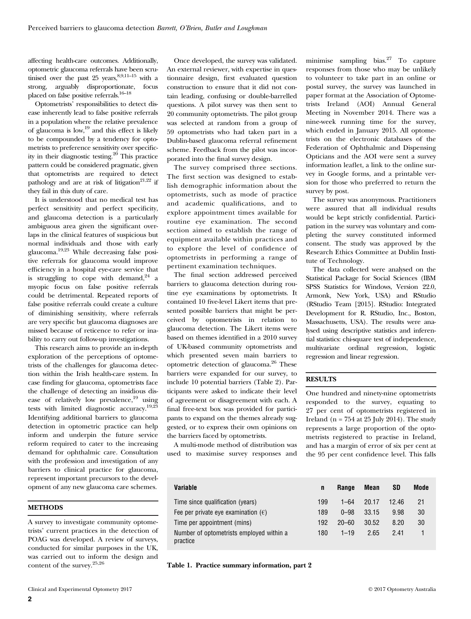affecting health-care outcomes. Additionally, optometric glaucoma referrals have been scrutinised over the past 25 years,  $8,9,11-15$  with a strong, arguably disproportionate, focus placed on false positive referrals.<sup>16–18</sup>

Optometrists' responsibilities to detect disease inherently lead to false positive referrals in a population where the relative prevalence of glaucoma is low,  $^{19}$  and this effect is likely to be compounded by a tendency for optometrists to preference sensitivity over specificity in their diagnostic testing.<sup>20</sup> This practice pattern could be considered pragmatic, given that optometrists are required to detect pathology and are at risk of litigation<sup>21,22</sup> if they fail in this duty of care.

It is understood that no medical test has perfect sensitivity and perfect specificity, and glaucoma detection is a particularly ambiguous area given the significant overlaps in the clinical features of suspicious but normal individuals and those with early glaucoma.19,23 While decreasing false positive referrals for glaucoma would improve efficiency in a hospital eye-care service that is struggling to cope with demand,  $24$  a myopic focus on false positive referrals could be detrimental. Repeated reports of false positive referrals could create a culture of diminishing sensitivity, where referrals are very specific but glaucoma diagnoses are missed because of reticence to refer or inability to carry out follow-up investigations.

This research aims to provide an in-depth exploration of the perceptions of optometrists of the challenges for glaucoma detection within the Irish health-care system. In case finding for glaucoma, optometrists face the challenge of detecting an insidious disease of relatively low prevalence,<sup>19</sup> using tests with limited diagnostic accuracy.<sup>19,23</sup> Identifying additional barriers to glaucoma detection in optometric practice can help inform and underpin the future service reform required to cater to the increasing demand for ophthalmic care. Consultation with the profession and investigation of any barriers to clinical practice for glaucoma, represent important precursors to the development of any new glaucoma care schemes.

#### METHODS

A survey to investigate community optometrists' current practices in the detection of POAG was developed. A review of surveys, conducted for similar purposes in the UK, was carried out to inform the design and content of the survey.25,26

Once developed, the survey was validated. An external reviewer, with expertise in questionnaire design, first evaluated question construction to ensure that it did not contain leading, confusing or double-barrelled questions. A pilot survey was then sent to 20 community optometrists. The pilot group was selected at random from a group of 59 optometrists who had taken part in a Dublin-based glaucoma referral refinement scheme. Feedback from the pilot was incorporated into the final survey design.

The survey comprised three sections. The first section was designed to establish demographic information about the optometrists, such as mode of practice and academic qualifications, and to explore appointment times available for routine eye examination. The second section aimed to establish the range of equipment available within practices and to explore the level of confidence of optometrists in performing a range of pertinent examination techniques.

The final section addressed perceived barriers to glaucoma detection during routine eye examinations by optometrists. It contained 10 five-level Likert items that presented possible barriers that might be perceived by optometrists in relation to glaucoma detection. The Likert items were based on themes identified in a 2010 survey of UK-based community optometrists and which presented seven main barriers to optometric detection of glaucoma. $26$  These barriers were expanded for our survey, to include 10 potential barriers (Table 2). Participants were asked to indicate their level of agreement or disagreement with each. A final free-text box was provided for participants to expand on the themes already suggested, or to express their own opinions on the barriers faced by optometrists.

A multi-mode method of distribution was used to maximise survey responses and

#### Variable n Range Mean SD Mode

| Time since qualification (years)                     | 199 | $1 - 64$ | 20.17 | 12.46 | 21 |
|------------------------------------------------------|-----|----------|-------|-------|----|
| Fee per private eye examination $(\epsilon)$         | 189 | $0 - 98$ | 33.15 | 9.98  | 30 |
| Time per appointment (mins)                          | 192 | 20–60    | 30.52 | 8.20  | 30 |
| Number of optometrists employed within a<br>practice | 180 | $1 - 19$ | 2.65  | 241   |    |

Table 1. Practice summary information, part 2

minimise sampling bias. $27$  To capture responses from those who may be unlikely to volunteer to take part in an online or postal survey, the survey was launched in paper format at the Association of Optometrists Ireland (AOI) Annual General Meeting in November 2014. There was a nine-week running time for the survey, which ended in January 2015. All optometrists on the electronic databases of the Federation of Ophthalmic and Dispensing Opticians and the AOI were sent a survey information leaflet, a link to the online survey in Google forms, and a printable version for those who preferred to return the survey by post.

The survey was anonymous. Practitioners were assured that all individual results would be kept strictly confidential. Participation in the survey was voluntary and completing the survey constituted informed consent. The study was approved by the Research Ethics Committee at Dublin Institute of Technology.

The data collected were analysed on the Statistical Package for Social Sciences (IBM SPSS Statistics for Windows, Version 22.0, Armonk, New York, USA) and RStudio (RStudio Team [2015]. RStudio: Integrated Development for R. RStudio, Inc., Boston, Massachusetts, USA). The results were analysed using descriptive statistics and inferential statistics: chi-square test of independence, multivariate ordinal regression, logistic regression and linear regression.

#### **RESULTS**

One hundred and ninety-nine optometrists responded to the survey, equating to 27 per cent of optometrists registered in Ireland ( $n = 754$  at 25 July 2014). The study represents a large proportion of the optometrists registered to practise in Ireland, and has a margin of error of six per cent at the 95 per cent confidence level. This falls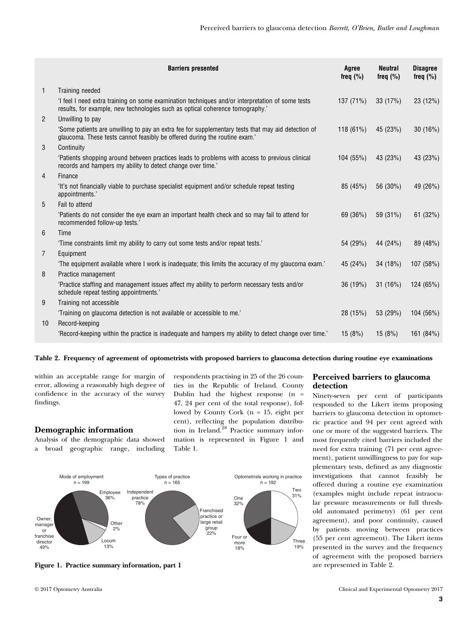|                | <b>Barriers presented</b>                                                                                                                                                         | Agree<br>freq $(\% )$ | <b>Neutral</b><br>freq $(\% )$ | <b>Disagree</b><br>freq $(\% )$ |
|----------------|-----------------------------------------------------------------------------------------------------------------------------------------------------------------------------------|-----------------------|--------------------------------|---------------------------------|
| $\overline{1}$ | Training needed                                                                                                                                                                   |                       |                                |                                 |
|                | 'I feel I need extra training on some examination techniques and/or interpretation of some tests<br>results, for example, new technologies such as optical coherence tomography.' | 137 (71%)             | 33 (17%)                       | 23 (12%)                        |
| $\overline{2}$ | Unwilling to pay                                                                                                                                                                  |                       |                                |                                 |
|                | Some patients are unwilling to pay an extra fee for supplementary tests that may aid detection of<br>glaucoma. These tests cannot feasibly be offered during the routine exam.'   | $118(61\%)$           | 45 (23%)                       | 30(16%)                         |
| 3              | Continuity                                                                                                                                                                        |                       |                                |                                 |
|                | 'Patients shopping around between practices leads to problems with access to previous clinical<br>records and hampers my ability to detect change over time.'                     | 104 (55%)             | 43 (23%)                       | 43 (23%)                        |
| $\overline{4}$ | Finance                                                                                                                                                                           |                       |                                |                                 |
|                | 'it's not financially viable to purchase specialist equipment and/or schedule repeat testing<br>appointments.'                                                                    | 85(45%)               | 56 (30%)                       | 49 (26%)                        |
| 5              | Fail to attend                                                                                                                                                                    |                       |                                |                                 |
|                | 'Patients do not consider the eye exam an important health check and so may fail to attend for<br>recommended follow-up tests.'                                                   | 69 (36%)              | 59 (31%)                       | 61 (32%)                        |
| 6              | Time                                                                                                                                                                              |                       |                                |                                 |
|                | 'Time constraints limit my ability to carry out some tests and/or repeat tests.'                                                                                                  | 54 (29%)              | 44 (24%)                       | 89 (48%)                        |
| $\overline{7}$ | Equipment                                                                                                                                                                         |                       |                                |                                 |
|                | The equipment available where I work is inadequate; this limits the accuracy of my glaucoma exam.'                                                                                | 45 (24%)              | 34 (18%)                       | 107 (58%)                       |
| 8              | Practice management                                                                                                                                                               |                       |                                |                                 |
|                | 'Practice staffing and management issues affect my ability to perform necessary tests and/or<br>schedule repeat testing appointments.'                                            | 36 (19%)              | 31(16%)                        | 124 (65%)                       |
| 9              | Training not accessible                                                                                                                                                           |                       |                                |                                 |
|                | 'Training on glaucoma detection is not available or accessible to me.'                                                                                                            | 28 (15%)              | 53 (29%)                       | 104 (56%)                       |
| 10             | Record-keeping                                                                                                                                                                    |                       |                                |                                 |
|                | 'Record-keeping within the practice is inadequate and hampers my ability to detect change over time.'                                                                             | 15(8%)                | 15(8%)                         | 161 (84%)                       |

#### Table 2. Frequency of agreement of optometrists with proposed barriers to glaucoma detection during routine eye examinations

within an acceptable range for margin of error, allowing a reasonably high degree of confidence in the accuracy of the survey findings.

#### Demographic information

Analysis of the demographic data showed a broad geographic range, including respondents practising in 25 of the 26 counties in the Republic of Ireland. County Dublin had the highest response (n = 47, 24 per cent of the total response), followed by County Cork (n = 15, eight per cent), reflecting the population distribution in Ireland.<sup>28</sup> Practice summary information is represented in Figure 1 and Table 1.



Figure 1. Practice summary information, part 1

Perceived barriers to glaucoma detection

Ninety-seven per cent of participants responded to the Likert items proposing barriers to glaucoma detection in optometric practice and 94 per cent agreed with one or more of the suggested barriers. The most frequently cited barriers included the need for extra training (71 per cent agreement), patient unwillingness to pay for supplementary tests, defined as any diagnostic investigations that cannot feasibly be offered during a routine eye examination (examples might include repeat intraocular pressure measurements or full threshold automated perimetry) (61 per cent agreement), and poor continuity, caused by patients moving between practices (55 per cent agreement). The Likert items presented in the survey and the frequency of agreement with the proposed barriers are represented in Table 2.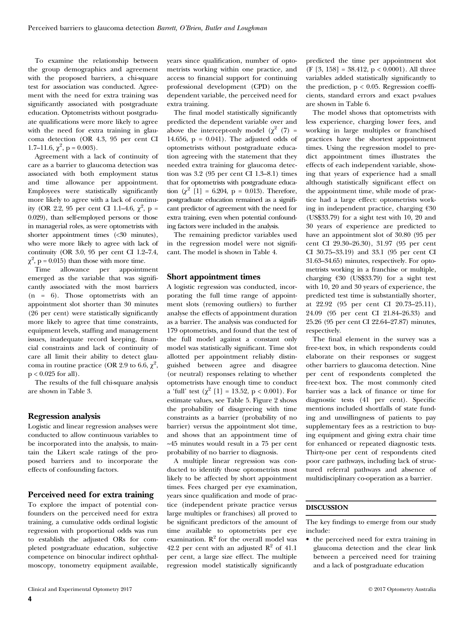To examine the relationship between the group demographics and agreement with the proposed barriers, a chi-square test for association was conducted. Agreement with the need for extra training was significantly associated with postgraduate education. Optometrists without postgraduate qualifications were more likely to agree with the need for extra training in glaucoma detection (OR 4.3, 95 per cent CI 1.7–11.6,  $\chi^2$ , p = 0.003).

Agreement with a lack of continuity of care as a barrier to glaucoma detection was associated with both employment status and time allowance per appointment. Employees were statistically significantly more likely to agree with a lack of continuity (OR 2.2, 95 per cent CI 1.1–4.6,  $\chi^2$ , p = 0.029), than self-employed persons or those in managerial roles, as were optometrists with shorter appointment times (<30 minutes), who were more likely to agree with lack of continuity (OR 3.0, 95 per cent CI 1.2–7.4,  $\chi^2$ , p = 0.015) than those with more time.

Time allowance per appointment emerged as the variable that was significantly associated with the most barriers (n = 6). Those optometrists with an appointment slot shorter than 30 minutes (26 per cent) were statistically significantly more likely to agree that time constraints, equipment levels, staffing and management issues, inadequate record keeping, financial constraints and lack of continuity of care all limit their ability to detect glaucoma in routine practice (OR 2.9 to 6.6,  $\chi^2$ ,  $p < 0.025$  for all).

The results of the full chi-square analysis are shown in Table 3.

#### Regression analysis

Logistic and linear regression analyses were conducted to allow continuous variables to be incorporated into the analysis, to maintain the Likert scale ratings of the proposed barriers and to incorporate the effects of confounding factors.

#### Perceived need for extra training

To explore the impact of potential confounders on the perceived need for extra training, a cumulative odds ordinal logistic regression with proportional odds was run to establish the adjusted ORs for completed postgraduate education, subjective competence on binocular indirect ophthalmoscopy, tonometry equipment available,

years since qualification, number of optometrists working within one practice, and access to financial support for continuing professional development (CPD) on the dependent variable, the perceived need for extra training.

The final model statistically significantly predicted the dependent variable over and above the intercept-only model ( $\chi^2$  (7) = 14.656,  $p = 0.041$ . The adjusted odds of optometrists without postgraduate education agreeing with the statement that they needed extra training for glaucoma detection was 3.2 (95 per cent CI 1.3–8.1) times that for optometrists with postgraduate education  $(\chi^2$  [1] = 6.204, p = 0.013). Therefore, postgraduate education remained as a significant predictor of agreement with the need for extra training, even when potential confounding factors were included in the analysis.

The remaining predictor variables used in the regression model were not significant. The model is shown in Table 4.

#### Short appointment times

A logistic regression was conducted, incorporating the full time range of appointment slots (removing outliers) to further analyse the effects of appointment duration as a barrier. The analysis was conducted for 179 optometrists, and found that the test of the full model against a constant only model was statistically significant. Time slot allotted per appointment reliably distinguished between agree and disagree (or neutral) responses relating to whether optometrists have enough time to conduct a 'full' test  $(\chi^2$  [1] = 13.52, p < 0.001). For estimate values, see Table 5. Figure 2 shows the probability of disagreeing with time constraints as a barrier (probability of no barrier) versus the appointment slot time, and shows that an appointment time of ~45 minutes would result in a 75 per cent probability of no barrier to diagnosis.

A multiple linear regression was conducted to identify those optometrists most likely to be affected by short appointment times. Fees charged per eye examination, years since qualification and mode of practice (independent private practice versus large multiples or franchises) all proved to be significant predictors of the amount of time available to optometrists per eye examination.  $R^2$  for the overall model was 42.2 per cent with an adjusted  $\mathbb{R}^2$  of 41.1 per cent, a large size effect. The multiple regression model statistically significantly

predicted the time per appointment slot  $(F [3, 158] = 38.412, p < 0.0001)$ . All three variables added statistically significantly to the prediction,  $p < 0.05$ . Regression coefficients, standard errors and exact p-values are shown in Table 6.

The model shows that optometrists with less experience, charging lower fees, and working in large multiples or franchised practices have the shortest appointment times. Using the regression model to predict appointment times illustrates the effects of each independent variable, showing that years of experience had a small although statistically significant effect on the appointment time, while mode of practice had a large effect: optometrists working in independent practice, charging  $€30$ (US\$33.79) for a sight test with 10, 20 and 30 years of experience are predicted to have an appointment slot of 30.80 (95 per cent CI 29.30–26.30), 31.97 (95 per cent CI 30.75–33.19) and 33.1 (95 per cent CI 31.63–34.65) minutes, respectively. For optometrists working in a franchise or multiple, charging  $£30$  (US\$33.79) for a sight test with 10, 20 and 30 years of experience, the predicted test time is substantially shorter, at 22.92 (95 per cent CI 20.73–25.11), 24.09 (95 per cent CI 21.84–26.33) and 25.26 (95 per cent CI 22.64–27.87) minutes, respectively.

The final element in the survey was a free-text box, in which respondents could elaborate on their responses or suggest other barriers to glaucoma detection. Nine per cent of respondents completed the free-text box. The most commonly cited barrier was a lack of finance or time for diagnostic tests (41 per cent). Specific mentions included shortfalls of state funding and unwillingness of patients to pay supplementary fees as a restriction to buying equipment and giving extra chair time for enhanced or repeated diagnostic tests. Thirty-one per cent of respondents cited poor care pathways, including lack of structured referral pathways and absence of multidisciplinary co-operation as a barrier.

### DISCUSSION

The key findings to emerge from our study include:

• the perceived need for extra training in glaucoma detection and the clear link between a perceived need for training and a lack of postgraduate education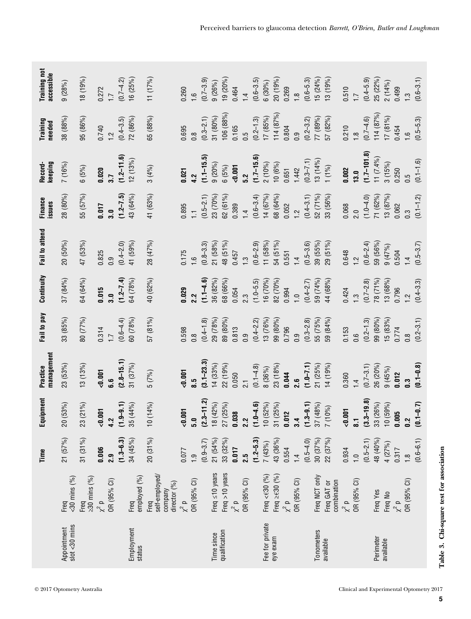| Training not<br>accessible | 9(28%)                       | 18 (19%)                   | 0.272        | $\overline{1.1}$ | $(0.7 - 4.2)$           | 16(25%)                   | 11(17%)                                           | 0.260      | 1.6              | $(0.7 - 3.9)$  | 9(26%)                                   | 19 (20%)       | 0.464               | 1.4              | $(0.6-3.5)$<br>6 (30%) |                         | 20 (19%)                 | 0.269      | 1.8           | $(0.6 - 5.3)$ |               | $15(24%)$<br>$13(19%)$     | 0.510                | 1.7                     | $(0.4-5.9)$<br>25 $(22%)$ |                             | 2(14%)         | 0.499      | $\ddot{ }$       | $(0.6 - 3.1)$ |
|----------------------------|------------------------------|----------------------------|--------------|------------------|-------------------------|---------------------------|---------------------------------------------------|------------|------------------|----------------|------------------------------------------|----------------|---------------------|------------------|------------------------|-------------------------|--------------------------|------------|---------------|---------------|---------------|----------------------------|----------------------|-------------------------|---------------------------|-----------------------------|----------------|------------|------------------|---------------|
| Training<br>needed         | 38 (88%)                     | 95 (86%)                   | 0.740        | $\overline{5}$   |                         | $(0.4 - 3.5)$<br>72 (86%) | 65 (88%)                                          | 0.695      |                  | $(0.3 - 2.1)$  | 31 (80%)                                 | 106(88%        | 0.165               | $\frac{5}{2}$    | $(0.2 - 1.3)$          | 17 (85%)                | 114(87%                  | 0.804      | $\ddot{0}$ .  | $(0.2 - 3.2)$ | 77 (89%)      | 57 (82%)                   | 0.210                | $\frac{\infty}{\infty}$ | $(0.7 - 4.6)$             | $114(87%)$<br>$17(81%)$     |                | 0.454      | $\frac{6}{1}$    | $(0.5 - 5.3)$ |
| keeping<br>Record-         | 7 (16%)                      | 6(5%)                      | 0.020        | 3.7              | $(1.2 - 11.6)$          | 12(13%)                   | 3(4%)                                             | 0.021      | 4.2              | $(1.1 - 15.5)$ | 9(20%)                                   | 6(5%)          | 100000              | 5.2              | $(1.7 - 15.6)$         | 2(10%)                  | 10 (6%)                  | 0.651      | 1.442         | $(0.3 - 7.1)$ | 13(14%)       | $1(1\%)$                   | 0.002                | 13.0                    | $1.7 - 101.8$             | 11 $(7.4\%)$<br>3 (15%)     |                | 0.250      |                  | $(0.1 - 1.6)$ |
| Finance<br>issues          | 28 (80%)                     | 55 (57%)                   | 0.017        | 3.0              | $(1.2 - 7.5)$           | 43 (64%)                  | 41 (63%)                                          | 0.895      | $\overline{E}$   | $(0.5 - 2.1)$  | 23 (70%)<br>62 (61%)                     |                | 0.389               | 1,4              | $(0.6 - 3.4)$          | 14 (67%)                | 68 (64%)                 | 0.052      | $\frac{1}{2}$ | $(0.4 - 3.1)$ | 52 (71%)      | 33 (56%)                   | 0.068                | $\overline{2.0}$        | $(1.0 - 4.0)$             | 71 (62%)<br>13 (87%)        |                | 0.062      | $\ddot{0}$ .3    | $(0.1 - 1.2)$ |
| Fail to attend             | 20 (50%)                     | 47 (53%)                   | 0.825        | $\overline{0}$ . | $(0.4-2.0)$<br>41 (59%) |                           | 28 (47%)                                          | 0.175      | 1.6              |                | $(0.8 - 3.3)$<br>21 (58%)                | 48 (51%)       | 0.457               | 1.3              | $(0.6 - 2.9)$          | 11(58%)                 | 54 (51%)                 | 0.551      | 14            | $(0.5 - 3.6)$ | 39 (55%)      | 29 (51%)                   | 0.648                | 1.2                     | $(0.6 - 2.4)$             | 59 (56%)                    | 9(47%)         | 0.504      | $1\overline{4}$  | $(0.5 - 3.7)$ |
| Continuity                 | 37 (84%)                     | 64 (64%)                   | 0.015        | $\ddot{3}$ .0    |                         | $(1.2 - 7.4)$<br>64 (78%) | 40 (62%)                                          | 0.029      | 2.2              | $(1.1 - 4.6)$  | 36 (82%)                                 | 68 (66%)       | 0.054               | 2.3              | $(1.0 - 5.5)$          | 16 (70%)                | 82 (70%)                 | 0.994      | $\frac{1}{1}$ | $(0.4 - 2.7)$ | 59 (74%)      | 44 (68%)                   | 0.424                | 1.3                     | $(0.7 - 2.8)$             | 78 (71%)<br>13 (68%)        |                | 0.796      |                  | $(0.4 - 3.3)$ |
| Fail to pay                | 33 (85%)                     | 80 (77%)                   | 0.314        | 1.7              |                         | $(0.6-4.4)$<br>60 $(78%)$ | 57 (81%)                                          | 0.598      | $\overline{0.8}$ |                | $(0.4-1.8)$<br>29 (78%)<br>89 (80%)      |                | 0.813               | 0.9              | $(0.4 - 2.2)$          | 13 (76%)                | 99 (80%)                 | 0.796      | $\ddot{0}$ .  | $(0.3 - 2.8)$ | 55 (75%)      | 59 (84%)                   | 0.153                | 0.6                     | $(0.2 - 1.3)$             | 99 (80%)<br>15 (83%)        |                | 0.774      | $0.\overline{8}$ | $(0.2 - 3.1)$ |
| management<br>Practice     | 23 (53%)                     | 13 (13%)                   | 100.007      | 6.6              | $(2.8 - 15.1)$          | 31 (37%)                  | 5(7%)                                             | $-0.001$   | 8.5<br>8         | $(3.1 - 23.3)$ | 14 (33%)                                 | 22 (19%)       | 0.050               | $\overline{2.1}$ | $(0.1 - 4.8)$          | 8(36%)                  | 23 (18%)                 | 0.044      | <u>ຸດ</u>     | $(1.0 - 7.1)$ | 21 (25%)      | 14 (19%)                   | 0.360                | $\overline{a}$          |                           | $(0.7 - 3.1)$<br>26 $(20%)$ | 9(45%)         | 0.012      | $0.\overline{3}$ | $(0.1 - 0.8)$ |
| uipment<br>훕               | (53%)<br>$\overline{20}$     | $(21\%)$<br>23             | $-001$<br>ද, | 4.2              | $-9 - 1$<br>$\vec{t}$   | (44%)<br>35               | (14%)<br>$\Rightarrow$                            | $-0.001$   | 5.0              |                | $(2.3-11.2)$<br>18 $(42%)$<br>27 $(25%)$ |                | <b>138</b><br>$\Xi$ | 2.2              | $(1.0 - 4.6)$          | (52%)<br>$\overline{C}$ | $31 (25%)$<br>0.012      |            | 34            | $(1.3 - 9.1)$ | (48%)<br>37   | 7 (10%)                    | $\overline{0}$<br>ද, | $\overline{\bullet}$    | $(3.3 - 19.8)$            | $(26%)$<br>(59%)<br>33      | $\overline{C}$ | 0.005      | <u>°3</u>        | $(0.1 - 0.7)$ |
| Time                       | 21 (57%)                     | $31(31\%)$                 | 0.006        | 2.9              | $(1.3 - 6.3)$           | 34 (45%)                  | 20 (31%)                                          | 0.077      | 1.9              | $(0.9 - 3.7)$  | $21(54\%)$                               | 33 (32%)       | 0.017               | 2.5              | $(1.2 - 5.3)$          | 7 (43%)                 | 43 (36%)                 | 0.554      | 1.4           | $(0.5 - 4.0)$ | 30 (37%)      | 22 (37%)                   | 0.934                | $\frac{1}{2}$           | $(0.5 - 2.1)$             | 48 (40%)                    | 4 (27%)        | 0.317      | $\frac{8}{1}$    | $(0.6 - 6.1)$ |
|                            | $<$ 30 mins $(%)$<br>Freq    | $\geq$ 30 mins (%)<br>Freq | $\chi^2$ p   | OR (95% CI)      |                         | employed (%)<br>Freq      | self-employed/<br>director (%)<br>company<br>Freq | $\chi^2$ p | OR (95% CI)      |                | Freq $\leq 10$ years                     | Freq >10 years | $\chi^2$ p          | OR (95% CI)      |                        | Freq < $630$ (%)        | Freq $\geq$ $\in$ 30 (%) | $\chi^2$ p | OR (95% CI)   |               | Freq NCT only | combination<br>Freq GAT or | $\chi^2$ p           | OR (95% CI)             |                           | Freq Yes                    | Freq No        | $\chi^2$ p | OR (95% CI)      |               |
|                            | slot <30 mins<br>Appointment |                            |              |                  |                         | Employment<br>status      |                                                   |            |                  |                | Time since                               | qualification  |                     |                  |                        | Fee for private         | eye exam                 |            |               |               | Tonometers    | available                  |                      |                         |                           | Perimeter                   | available      |            |                  |               |

Table 3. Chi-square test for association

Table 3. Chi-square test for association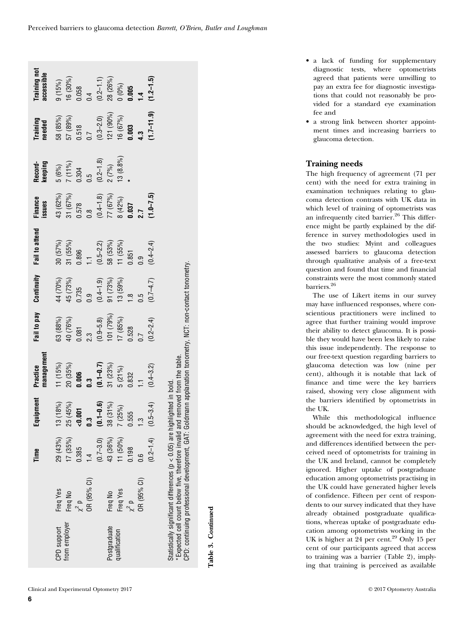|                              |                                                                                                                                                                                                                                                                              | Time                        | Equipment                              | Practice<br>management                                                                           | Fail to pay                                                                                                                                           | Continuity                                                                   | Fail to attend                                                                                                                                                    | Finance<br>issues                                                                                   | Record-<br>keeping                                                                                                                     | Training<br>needed                                                                                                                                                                                    | Training not<br>accessible                                                                          |
|------------------------------|------------------------------------------------------------------------------------------------------------------------------------------------------------------------------------------------------------------------------------------------------------------------------|-----------------------------|----------------------------------------|--------------------------------------------------------------------------------------------------|-------------------------------------------------------------------------------------------------------------------------------------------------------|------------------------------------------------------------------------------|-------------------------------------------------------------------------------------------------------------------------------------------------------------------|-----------------------------------------------------------------------------------------------------|----------------------------------------------------------------------------------------------------------------------------------------|-------------------------------------------------------------------------------------------------------------------------------------------------------------------------------------------------------|-----------------------------------------------------------------------------------------------------|
| from employer<br>CPD support | Freq Yes<br>Freq No                                                                                                                                                                                                                                                          | 29 (43%)<br>17(35%)         | 13 (18%)<br>25 (45%)<br>< <b>0.001</b> | 11 (15%)<br>20 (35%)<br><b>0.006</b><br><b>0.3</b><br><b>0.11</b><br>5 (21%)<br>5 (21%)<br>0.832 | $\begin{array}{l} 63 \ (88\%) \\ 40 \ (76\%) \\ 0.081 \\ 2.3 \\ (0.9-5.8) \\ 101 \ (79\%) \\ 101 \ (79\%) \\ 17 \ (85\%) \\ 0.528 \\ 0.7 \end{array}$ | 44 (70%)<br>45 (73%)<br>0.735<br>0.9<br>0.9%)<br>91 (73%)<br>13 (59%)<br>1.8 | $\begin{array}{l} 30 \ (57\%) \\ 31 \ (55\%) \\ 0.896 \\ 1.1 \\ 1.1 \\ 65.2.2) \\ 58 \ (53\%) \\ 11 \ (55\%) \\ 11 \ (55\%) \\ 0.851 \\ 0.851 \\ 0.9 \end{array}$ | 43 (62%)<br>31 (67%)<br>0.578<br>0.8<br>0.037<br>8 (42%)<br><b>8.72</b><br><b>2.7</b><br><b>2.7</b> | $\begin{array}{l} 5 \ (6\%) \ 7 \ (11\%) \ 0.304 \ 0.5 \ (0.2\text{--}1.8) \ (0.2\text{--}1.8) \ 2 \ (7\%) \ 13 \ (8.8\%) \end{array}$ | $\begin{array}{l} 58 \ (85\%) \\ 57 \ (89\%) \\ 0.518 \\ 0.7 \\ (0.3-2.0) \\ (0.3-2.0) \\ 121 \ (90\%) \\ 16 \ (67\%) \\ \mathbf{0.03} \\ \mathbf{0.03} \\ \mathbf{0.03} \\ \mathbf{4.3} \end{array}$ | $9(15%)$<br>$16(30%)$<br>$0.058$<br>$0.4$<br>$20(2-1,1)$<br>$20(26%)$<br>$0.05$<br>$0.005$<br>$1.4$ |
|                              | $\chi^2$ p                                                                                                                                                                                                                                                                   | 0.385                       |                                        |                                                                                                  |                                                                                                                                                       |                                                                              |                                                                                                                                                                   |                                                                                                     |                                                                                                                                        |                                                                                                                                                                                                       |                                                                                                     |
|                              | OR (95% CI)                                                                                                                                                                                                                                                                  | $\frac{4}{1}$               | $\ddot{0}$ .                           |                                                                                                  |                                                                                                                                                       |                                                                              |                                                                                                                                                                   |                                                                                                     |                                                                                                                                        |                                                                                                                                                                                                       |                                                                                                     |
|                              |                                                                                                                                                                                                                                                                              | $(0.7 - 3.0)$               |                                        |                                                                                                  |                                                                                                                                                       |                                                                              |                                                                                                                                                                   |                                                                                                     |                                                                                                                                        |                                                                                                                                                                                                       |                                                                                                     |
| Postgraduate                 | Freq No                                                                                                                                                                                                                                                                      | 43 (36%)                    | $(0.1 - 0.6)$<br>38 $(31\%)$           |                                                                                                  |                                                                                                                                                       |                                                                              |                                                                                                                                                                   |                                                                                                     |                                                                                                                                        |                                                                                                                                                                                                       |                                                                                                     |
| qualification                | Freq Yes                                                                                                                                                                                                                                                                     | $11(50\%)$                  | $7(25%)$<br>0.555                      |                                                                                                  |                                                                                                                                                       |                                                                              |                                                                                                                                                                   |                                                                                                     |                                                                                                                                        |                                                                                                                                                                                                       |                                                                                                     |
|                              | $\chi^2$ p                                                                                                                                                                                                                                                                   | 0.198                       |                                        |                                                                                                  |                                                                                                                                                       |                                                                              |                                                                                                                                                                   |                                                                                                     |                                                                                                                                        |                                                                                                                                                                                                       |                                                                                                     |
|                              | OR (95% CI)                                                                                                                                                                                                                                                                  | $\frac{6}{5}$               | ب<br>ب                                 |                                                                                                  |                                                                                                                                                       |                                                                              |                                                                                                                                                                   |                                                                                                     |                                                                                                                                        |                                                                                                                                                                                                       |                                                                                                     |
|                              |                                                                                                                                                                                                                                                                              | $(0.2 - 1.4)$ $(0.5 - 3.4)$ |                                        | $(0.4 - 3.2)$                                                                                    | $(0.2 - 2.4)$                                                                                                                                         | $(0.7 - 4.7)$                                                                | $(0.4 - 2.4)$                                                                                                                                                     |                                                                                                     |                                                                                                                                        | $(1.7 - 11.9)$                                                                                                                                                                                        | $(1.2 - 1.5)$                                                                                       |
|                              | CPD: continuing professional development, GAT: Goldmann applanation tonometry, NCT: non-contact tonometry.<br>Expected cell count below five, therefore invalid and removed from the table.<br>Statistically significant differences ( $p < 0.05$ ) are highlighted in bold. |                             |                                        |                                                                                                  |                                                                                                                                                       |                                                                              |                                                                                                                                                                   |                                                                                                     |                                                                                                                                        |                                                                                                                                                                                                       |                                                                                                     |

Table 3. Continued Table 3. Continued

- a lack of funding for supplementary diagnostic tests, where optometrists agreed that patients were unwilling to pay an extra fee for diagnostic investigations that could not reasonably be provided for a standard eye examination fee and
- a strong link between shorter appointment times and increasing barriers to glaucoma detection.

## Training needs

The high frequency of agreement (71 per cent) with the need for extra training in examination techniques relating to glaucoma detection contrasts with UK data in which level of training of optometrists was an infrequently cited barrier. $26$  This difference might be partly explained by the difference in survey methodologies used in the two studies: Myint and colleagues assessed barriers to glaucoma detection through qualitative analysis of a free-text question and found that time and financial constraints were the most commonly stated barriers.<sup>26</sup>

The use of Likert items in our survey may have influenced responses, where conscientious practitioners were inclined to agree that further training would improve their ability to detect glaucoma. It is possible they would have been less likely to raise this issue independently. The response to our free-text question regarding barriers to glaucoma detection was low (nine per cent), although it is notable that lack of finance and time were the key barriers raised, showing very close alignment with the barriers identified by optometrists in the UK.

While this methodological influence should be acknowledged, the high level of agreement with the need for extra training, and differences identified between the perceived need of optometrists for training in the UK and Ireland, cannot be completely ignored. Higher uptake of postgraduate education among optometrists practising in the UK could have generated higher levels of confidence. Fifteen per cent of respondents to our survey indicated that they have already obtained postgraduate qualifications, whereas uptake of postgraduate education among optometrists working in the UK is higher at 24 per cent.<sup>29</sup> Only 15 per cent of our participants agreed that access to training was a barrier (Table 2), implying that training is perceived as available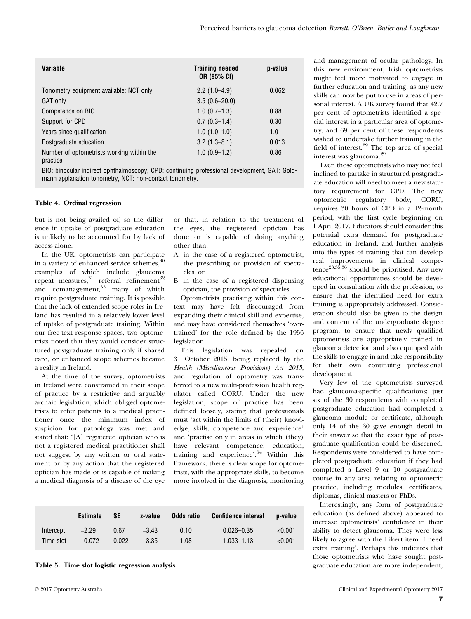| <b>Variable</b>                                       | <b>Training needed</b><br>OR (95% CI) | p-value |
|-------------------------------------------------------|---------------------------------------|---------|
| Tonometry equipment available: NCT only               | $2.2(1.0-4.9)$                        | 0.062   |
| GAT only                                              | $3.5(0.6 - 20.0)$                     |         |
| Competence on BIO                                     | $1.0(0.7-1.3)$                        | 0.88    |
| Support for CPD                                       | $0.7(0.3-1.4)$                        | 0.30    |
| Years since qualification                             | $1.0(1.0-1.0)$                        | 1.0     |
| Postgraduate education                                | $3.2(1.3 - 8.1)$                      | 0.013   |
| Number of optometrists working within the<br>practice | $1.0(0.9-1.2)$                        | 0.86    |

BIO: binocular indirect ophthalmoscopy, CPD: continuing professional development, GAT: Goldmann applanation tonometry, NCT: non-contact tonometry.

#### Table 4. Ordinal regression

but is not being availed of, so the difference in uptake of postgraduate education is unlikely to be accounted for by lack of access alone.

In the UK, optometrists can participate in a variety of enhanced service schemes,<sup>30</sup> examples of which include glaucoma repeat measures, $31$  referral refinement $32$ and comanagement,<sup>33</sup> many of which require postgraduate training. It is possible that the lack of extended scope roles in Ireland has resulted in a relatively lower level of uptake of postgraduate training. Within our free-text response spaces, two optometrists noted that they would consider structured postgraduate training only if shared care, or enhanced scope schemes became a reality in Ireland.

At the time of the survey, optometrists in Ireland were constrained in their scope of practice by a restrictive and arguably archaic legislation, which obliged optometrists to refer patients to a medical practitioner once the minimum index of suspicion for pathology was met and stated that: '[A] registered optician who is not a registered medical practitioner shall not suggest by any written or oral statement or by any action that the registered optician has made or is capable of making a medical diagnosis of a disease of the eye

or that, in relation to the treatment of the eyes, the registered optician has done or is capable of doing anything other than:

- A. in the case of a registered optometrist, the prescribing or provision of spectacles, or
- B. in the case of a registered dispensing optician, the provision of spectacles.'

Optometrists practising within this context may have felt discouraged from expanding their clinical skill and expertise, and may have considered themselves 'overtrained' for the role defined by the 1956 legislation.

This legislation was repealed on 31 October 2015, being replaced by the Health (Miscellaneous Provisions) Act 2015, and regulation of optometry was transferred to a new multi-profession health regulator called CORU. Under the new legislation, scope of practice has been defined loosely, stating that professionals must 'act within the limits of (their) knowledge, skills, competence and experience' and 'practise only in areas in which (they) have relevant competence, education, training and experience'. <sup>34</sup> Within this framework, there is clear scope for optometrists, with the appropriate skills, to become more involved in the diagnosis, monitoring

|           | Estimate | SE    | z-value | Odds ratio | Confidence interval | p-value |
|-----------|----------|-------|---------|------------|---------------------|---------|
| Intercept | $-2.29$  | 0.67  | $-3.43$ | 0.10       | $0.026 - 0.35$      | < 0.001 |
| Time slot | 0.072    | 0.022 | 3.35    | 1.08       | $1.033 - 1.13$      | < 0.001 |

Table 5. Time slot logistic regression analysis

and management of ocular pathology. In this new environment, Irish optometrists might feel more motivated to engage in further education and training, as any new skills can now be put to use in areas of personal interest. A UK survey found that 42.7 per cent of optometrists identified a special interest in a particular area of optometry, and 69 per cent of these respondents wished to undertake further training in the field of interest. $29$  The top area of special interest was glaucoma.<sup>29</sup>

Even those optometrists who may not feel inclined to partake in structured postgraduate education will need to meet a new statutory requirement for CPD. The new optometric regulatory body, CORU, requires 30 hours of CPD in a 12-month period, with the first cycle beginning on 1 April 2017. Educators should consider this potential extra demand for postgraduate education in Ireland, and further analysis into the types of training that can develop real improvements in clinical competence<sup>23,35,36</sup> should be prioritised. Any new educational opportunities should be developed in consultation with the profession, to ensure that the identified need for extra training is appropriately addressed. Consideration should also be given to the design and content of the undergraduate degree program, to ensure that newly qualified optometrists are appropriately trained in glaucoma detection and also equipped with the skills to engage in and take responsibility for their own continuing professional development.

Very few of the optometrists surveyed had glaucoma-specific qualifications; just six of the 30 respondents with completed postgraduate education had completed a glaucoma module or certificate, although only 14 of the 30 gave enough detail in their answer so that the exact type of postgraduate qualification could be discerned. Respondents were considered to have completed postgraduate education if they had completed a Level 9 or 10 postgraduate course in any area relating to optometric practice, including modules, certificates, diplomas, clinical masters or PhDs.

Interestingly, any form of postgraduate education (as defined above) appeared to increase optometrists' confidence in their ability to detect glaucoma. They were less likely to agree with the Likert item 'I need extra training'. Perhaps this indicates that those optometrists who have sought postgraduate education are more independent,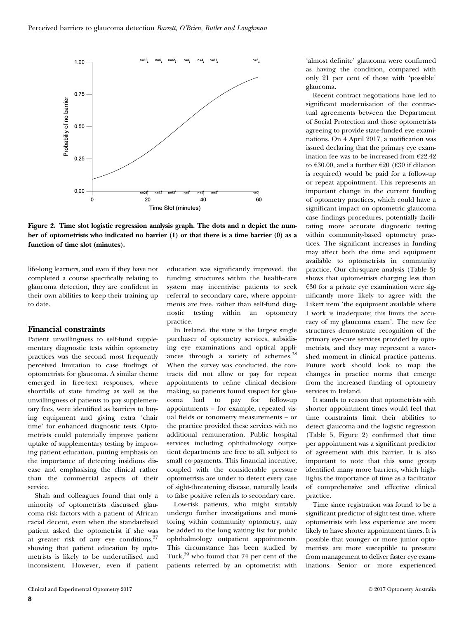

Figure 2. Time slot logistic regression analysis graph. The dots and n depict the number of optometrists who indicated no barrier  $(1)$  or that there is a time barrier  $(0)$  as a function of time slot (minutes).

life-long learners, and even if they have not completed a course specifically relating to glaucoma detection, they are confident in their own abilities to keep their training up to date.

#### Financial constraints

Patient unwillingness to self-fund supplementary diagnostic tests within optometry practices was the second most frequently perceived limitation to case findings of optometrists for glaucoma. A similar theme emerged in free-text responses, where shortfalls of state funding as well as the unwillingness of patients to pay supplementary fees, were identified as barriers to buying equipment and giving extra 'chair time' for enhanced diagnostic tests. Optometrists could potentially improve patient uptake of supplementary testing by improving patient education, putting emphasis on the importance of detecting insidious disease and emphasising the clinical rather than the commercial aspects of their service.

Shah and colleagues found that only a minority of optometrists discussed glaucoma risk factors with a patient of African racial decent, even when the standardised patient asked the optometrist if she was at greater risk of any eye conditions,<sup>37</sup> showing that patient education by optometrists is likely to be underutilised and inconsistent. However, even if patient education was significantly improved, the funding structures within the health-care system may incentivise patients to seek referral to secondary care, where appointments are free, rather than self-fund diagnostic testing within an optometry practice.

In Ireland, the state is the largest single purchaser of optometry services, subsidising eye examinations and optical appliances through a variety of schemes.<sup>38</sup> When the survey was conducted, the contracts did not allow or pay for repeat appointments to refine clinical decisionmaking, so patients found suspect for glaucoma had to pay for follow-up appointments – for example, repeated visual fields or tonometry measurements – or the practice provided these services with no additional remuneration. Public hospital services including ophthalmology outpatient departments are free to all, subject to small co-payments. This financial incentive, coupled with the considerable pressure optometrists are under to detect every case of sight-threatening disease, naturally leads to false positive referrals to secondary care.

Low-risk patients, who might suitably undergo further investigations and monitoring within community optometry, may be added to the long waiting list for public ophthalmology outpatient appointments. This circumstance has been studied by Tuck, $39$  who found that 74 per cent of the patients referred by an optometrist with

'almost definite' glaucoma were confirmed as having the condition, compared with only 21 per cent of those with 'possible' glaucoma.

Recent contract negotiations have led to significant modernisation of the contractual agreements between the Department of Social Protection and those optometrists agreeing to provide state-funded eye examinations. On 4 April 2017, a notification was issued declaring that the primary eye examination fee was to be increased from €22.42 to  $€30.00$ , and a further  $€20$  ( $€30$  if dilation is required) would be paid for a follow-up or repeat appointment. This represents an important change in the current funding of optometry practices, which could have a significant impact on optometric glaucoma case findings procedures, potentially facilitating more accurate diagnostic testing within community-based optometry practices. The significant increases in funding may affect both the time and equipment available to optometrists in community practice. Our chi-square analysis (Table 3) shows that optometrists charging less than  $€30$  for a private eye examination were significantly more likely to agree with the Likert item 'the equipment available where I work is inadequate; this limits the accuracy of my glaucoma exam'. The new fee structures demonstrate recognition of the primary eye-care services provided by optometrists, and they may represent a watershed moment in clinical practice patterns. Future work should look to map the changes in practice norms that emerge from the increased funding of optometry services in Ireland.

It stands to reason that optometrists with shorter appointment times would feel that time constraints limit their abilities to detect glaucoma and the logistic regression (Table 5, Figure 2) confirmed that time per appointment was a significant predictor of agreement with this barrier. It is also important to note that this same group identified many more barriers, which highlights the importance of time as a facilitator of comprehensive and effective clinical practice.

Time since registration was found to be a significant predictor of sight test time, where optometrists with less experience are more likely to have shorter appointment times. It is possible that younger or more junior optometrists are more susceptible to pressure from management to deliver faster eye examinations. Senior or more experienced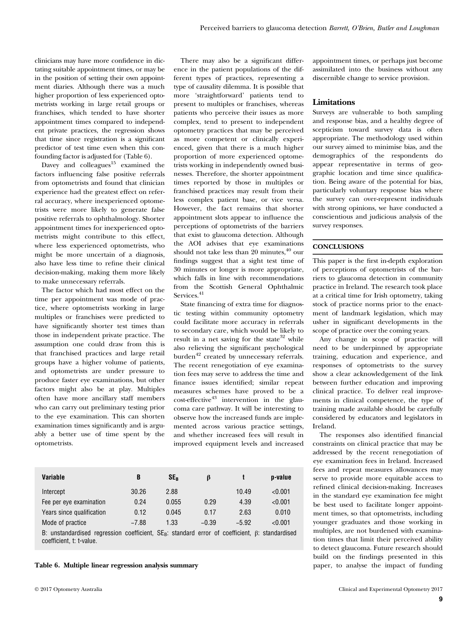clinicians may have more confidence in dictating suitable appointment times, or may be in the position of setting their own appointment diaries. Although there was a much higher proportion of less experienced optometrists working in large retail groups or franchises, which tended to have shorter appointment times compared to independent private practices, the regression shows that time since registration is a significant predictor of test time even when this confounding factor is adjusted for (Table 6).

Davey and  $\text{colleagues}^{15}$  examined the factors influencing false positive referrals from optometrists and found that clinician experience had the greatest effect on referral accuracy, where inexperienced optometrists were more likely to generate false positive referrals to ophthalmology. Shorter appointment times for inexperienced optometrists might contribute to this effect, where less experienced optometrists, who might be more uncertain of a diagnosis, also have less time to refine their clinical decision-making, making them more likely to make unnecessary referrals.

The factor which had most effect on the time per appointment was mode of practice, where optometrists working in large multiples or franchises were predicted to have significantly shorter test times than those in independent private practice. The assumption one could draw from this is that franchised practices and large retail groups have a higher volume of patients, and optometrists are under pressure to produce faster eye examinations, but other factors might also be at play. Multiples often have more ancillary staff members who can carry out preliminary testing prior to the eye examination. This can shorten examination times significantly and is arguably a better use of time spent by the optometrists.

There may also be a significant difference in the patient populations of the different types of practices, representing a type of causality dilemma. It is possible that more 'straightforward' patients tend to present to multiples or franchises, whereas patients who perceive their issues as more complex, tend to present to independent optometry practices that may be perceived as more competent or clinically experienced, given that there is a much higher proportion of more experienced optometrists working in independently owned businesses. Therefore, the shorter appointment times reported by those in multiples or franchised practices may result from their less complex patient base, or vice versa. However, the fact remains that shorter appointment slots appear to influence the perceptions of optometrists of the barriers that exist to glaucoma detection. Although the AOI advises that eye examinations should not take less than 20 minutes, $40$  our findings suggest that a sight test time of 30 minutes or longer is more appropriate, which falls in line with recommendations from the Scottish General Ophthalmic Services.<sup>41</sup>

State financing of extra time for diagnostic testing within community optometry could facilitate more accuracy in referrals to secondary care, which would be likely to result in a net saving for the state<sup>32</sup> while also relieving the significant psychological burden<sup>42</sup> created by unnecessary referrals. The recent renegotiation of eye examination fees may serve to address the time and finance issues identified; similar repeat measures schemes have proved to be a  $cost\text{-}effective^{43}$  intervention in the glaucoma care pathway. It will be interesting to observe how the increased funds are implemented across various practice settings, and whether increased fees will result in improved equipment levels and increased

| <b>Variable</b>                                                                                                                      | B       | $SE_R$ | -6      |         | p-value |
|--------------------------------------------------------------------------------------------------------------------------------------|---------|--------|---------|---------|---------|
| Intercept                                                                                                                            | 30.26   | 2.88   |         | 10.49   | < 0.001 |
| Fee per eye examination                                                                                                              | 0.24    | 0.055  | 0.29    | 4.39    | < 0.001 |
| Years since qualification                                                                                                            | 0.12    | 0.045  | 0.17    | 2.63    | 0.010   |
| Mode of practice                                                                                                                     | $-7.88$ | 1.33   | $-0.39$ | $-5.92$ | < 0.001 |
| B: unstandardised regression coefficient, $SE_B$ : standard error of coefficient, $\beta$ : standardised<br>coefficient, t: t-value. |         |        |         |         |         |

Table 6. Multiple linear regression analysis summary

appointment times, or perhaps just become assimilated into the business without any discernible change to service provision.

#### Limitations

Surveys are vulnerable to both sampling and response bias, and a healthy degree of scepticism toward survey data is often appropriate. The methodology used within our survey aimed to minimise bias, and the demographics of the respondents do appear representative in terms of geographic location and time since qualification. Being aware of the potential for bias, particularly voluntary response bias where the survey can over-represent individuals with strong opinions, we have conducted a conscientious and judicious analysis of the survey responses.

#### **CONCLUSIONS**

This paper is the first in-depth exploration of perceptions of optometrists of the barriers to glaucoma detection in community practice in Ireland. The research took place at a critical time for Irish optometry, taking stock of practice norms prior to the enactment of landmark legislation, which may usher in significant developments in the scope of practice over the coming years.

Any change in scope of practice will need to be underpinned by appropriate training, education and experience, and responses of optometrists to the survey show a clear acknowledgement of the link between further education and improving clinical practice. To deliver real improvements in clinical competence, the type of training made available should be carefully considered by educators and legislators in Ireland.

The responses also identified financial constraints on clinical practice that may be addressed by the recent renegotiation of eye examination fees in Ireland. Increased fees and repeat measures allowances may serve to provide more equitable access to refined clinical decision-making. Increases in the standard eye examination fee might be best used to facilitate longer appointment times, so that optometrists, including younger graduates and those working in multiples, are not burdened with examination times that limit their perceived ability to detect glaucoma. Future research should build on the findings presented in this paper, to analyse the impact of funding